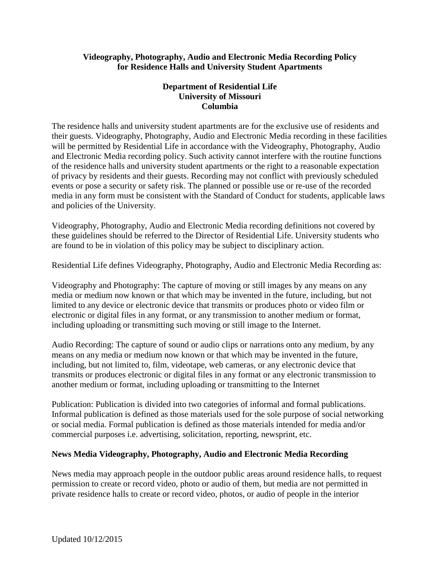#### **Videography, Photography, Audio and Electronic Media Recording Policy for Residence Halls and University Student Apartments**

## **Department of Residential Life University of Missouri Columbia**

The residence halls and university student apartments are for the exclusive use of residents and their guests. Videography, Photography, Audio and Electronic Media recording in these facilities will be permitted by Residential Life in accordance with the Videography, Photography, Audio and Electronic Media recording policy. Such activity cannot interfere with the routine functions of the residence halls and university student apartments or the right to a reasonable expectation of privacy by residents and their guests. Recording may not conflict with previously scheduled events or pose a security or safety risk. The planned or possible use or re-use of the recorded media in any form must be consistent with the Standard of Conduct for students, applicable laws and policies of the University.

Videography, Photography, Audio and Electronic Media recording definitions not covered by these guidelines should be referred to the Director of Residential Life. University students who are found to be in violation of this policy may be subject to disciplinary action.

Residential Life defines Videography, Photography, Audio and Electronic Media Recording as:

Videography and Photography: The capture of moving or still images by any means on any media or medium now known or that which may be invented in the future, including, but not limited to any device or electronic device that transmits or produces photo or video film or electronic or digital files in any format, or any transmission to another medium or format, including uploading or transmitting such moving or still image to the Internet.

Audio Recording: The capture of sound or audio clips or narrations onto any medium, by any means on any media or medium now known or that which may be invented in the future, including, but not limited to, film, videotape, web cameras, or any electronic device that transmits or produces electronic or digital files in any format or any electronic transmission to another medium or format, including uploading or transmitting to the Internet

Publication: Publication is divided into two categories of informal and formal publications. Informal publication is defined as those materials used for the sole purpose of social networking or social media. Formal publication is defined as those materials intended for media and/or commercial purposes i.e. advertising, solicitation, reporting, newsprint, etc.

### **News Media Videography, Photography, Audio and Electronic Media Recording**

News media may approach people in the outdoor public areas around residence halls, to request permission to create or record video, photo or audio of them, but media are not permitted in private residence halls to create or record video, photos, or audio of people in the interior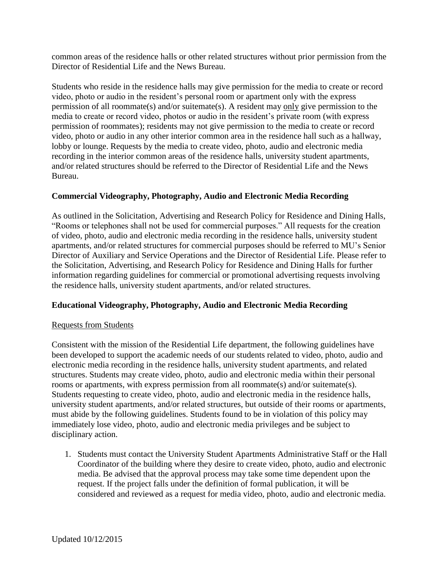common areas of the residence halls or other related structures without prior permission from the Director of Residential Life and the News Bureau.

Students who reside in the residence halls may give permission for the media to create or record video, photo or audio in the resident's personal room or apartment only with the express permission of all roommate(s) and/or suitemate(s). A resident may only give permission to the media to create or record video, photos or audio in the resident's private room (with express permission of roommates); residents may not give permission to the media to create or record video, photo or audio in any other interior common area in the residence hall such as a hallway, lobby or lounge. Requests by the media to create video, photo, audio and electronic media recording in the interior common areas of the residence halls, university student apartments, and/or related structures should be referred to the Director of Residential Life and the News Bureau.

## **Commercial Videography, Photography, Audio and Electronic Media Recording**

As outlined in the Solicitation, Advertising and Research Policy for Residence and Dining Halls, "Rooms or telephones shall not be used for commercial purposes." All requests for the creation of video, photo, audio and electronic media recording in the residence halls, university student apartments, and/or related structures for commercial purposes should be referred to MU's Senior Director of Auxiliary and Service Operations and the Director of Residential Life. Please refer to the Solicitation, Advertising, and Research Policy for Residence and Dining Halls for further information regarding guidelines for commercial or promotional advertising requests involving the residence halls, university student apartments, and/or related structures.

# **Educational Videography, Photography, Audio and Electronic Media Recording**

### Requests from Students

Consistent with the mission of the Residential Life department, the following guidelines have been developed to support the academic needs of our students related to video, photo, audio and electronic media recording in the residence halls, university student apartments, and related structures. Students may create video, photo, audio and electronic media within their personal rooms or apartments, with express permission from all roommate(s) and/or suitemate(s). Students requesting to create video, photo, audio and electronic media in the residence halls, university student apartments, and/or related structures, but outside of their rooms or apartments, must abide by the following guidelines. Students found to be in violation of this policy may immediately lose video, photo, audio and electronic media privileges and be subject to disciplinary action.

1. Students must contact the University Student Apartments Administrative Staff or the Hall Coordinator of the building where they desire to create video, photo, audio and electronic media. Be advised that the approval process may take some time dependent upon the request. If the project falls under the definition of formal publication, it will be considered and reviewed as a request for media video, photo, audio and electronic media.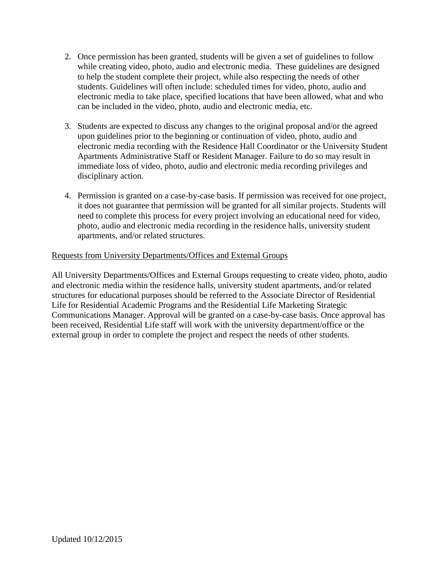- 2. Once permission has been granted, students will be given a set of guidelines to follow while creating video, photo, audio and electronic media. These guidelines are designed to help the student complete their project, while also respecting the needs of other students. Guidelines will often include: scheduled times for video, photo, audio and electronic media to take place, specified locations that have been allowed, what and who can be included in the video, photo, audio and electronic media, etc.
- 3. Students are expected to discuss any changes to the original proposal and/or the agreed upon guidelines prior to the beginning or continuation of video, photo, audio and electronic media recording with the Residence Hall Coordinator or the University Student Apartments Administrative Staff or Resident Manager. Failure to do so may result in immediate loss of video, photo, audio and electronic media recording privileges and disciplinary action.
- 4. Permission is granted on a case-by-case basis. If permission was received for one project, it does not guarantee that permission will be granted for all similar projects. Students will need to complete this process for every project involving an educational need for video, photo, audio and electronic media recording in the residence halls, university student apartments, and/or related structures.

### Requests from University Departments/Offices and External Groups

All University Departments/Offices and External Groups requesting to create video, photo, audio and electronic media within the residence halls, university student apartments, and/or related structures for educational purposes should be referred to the Associate Director of Residential Life for Residential Academic Programs and the Residential Life Marketing Strategic Communications Manager. Approval will be granted on a case-by-case basis. Once approval has been received, Residential Life staff will work with the university department/office or the external group in order to complete the project and respect the needs of other students.